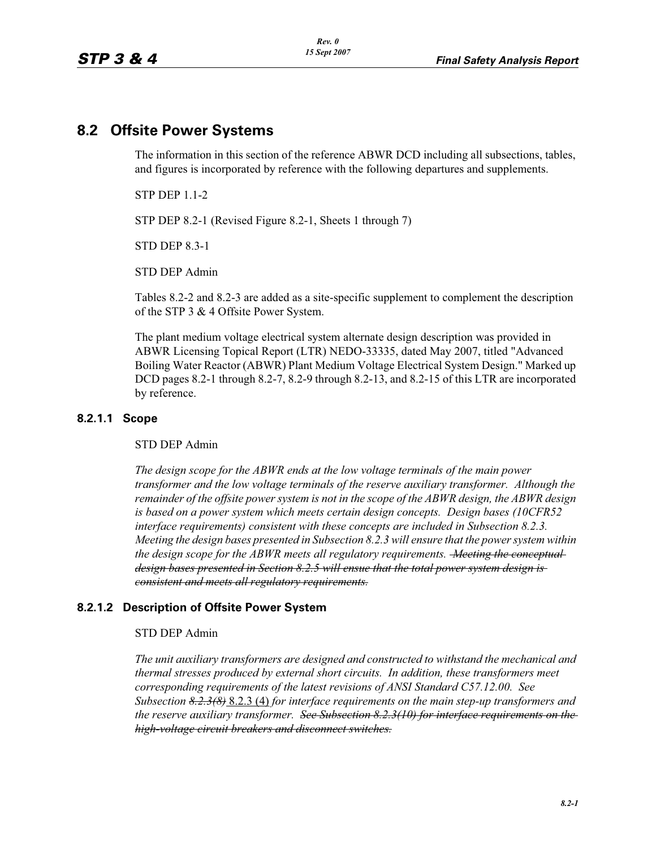# **8.2 Offsite Power Systems**

The information in this section of the reference ABWR DCD including all subsections, tables, and figures is incorporated by reference with the following departures and supplements.

STP DEP 1.1-2

STP DEP 8.2-1 (Revised Figure 8.2-1, Sheets 1 through 7)

STD DEP 8.3-1

STD DEP Admin

Tables 8.2-2 and 8.2-3 are added as a site-specific supplement to complement the description of the STP 3 & 4 Offsite Power System.

The plant medium voltage electrical system alternate design description was provided in ABWR Licensing Topical Report (LTR) NEDO-33335, dated May 2007, titled "Advanced Boiling Water Reactor (ABWR) Plant Medium Voltage Electrical System Design." Marked up DCD pages 8.2-1 through 8.2-7, 8.2-9 through 8.2-13, and 8.2-15 of this LTR are incorporated by reference.

#### **8.2.1.1 Scope**

#### STD DEP Admin

*The design scope for the ABWR ends at the low voltage terminals of the main power transformer and the low voltage terminals of the reserve auxiliary transformer. Although the remainder of the offsite power system is not in the scope of the ABWR design, the ABWR design is based on a power system which meets certain design concepts. Design bases (10CFR52 interface requirements) consistent with these concepts are included in Subsection 8.2.3. Meeting the design bases presented in Subsection 8.2.3 will ensure that the power system within the design scope for the ABWR meets all regulatory requirements. Meeting the conceptual design bases presented in Section 8.2.5 will ensue that the total power system design is consistent and meets all regulatory requirements.*

### **8.2.1.2 Description of Offsite Power System**

#### STD DEP Admin

*The unit auxiliary transformers are designed and constructed to withstand the mechanical and thermal stresses produced by external short circuits. In addition, these transformers meet corresponding requirements of the latest revisions of ANSI Standard C57.12.00. See Subsection 8.2.3(8)* 8.2.3 (4) *for interface requirements on the main step-up transformers and the reserve auxiliary transformer. See Subsection 8.2.3(10) for interface requirements on the high-voltage circuit breakers and disconnect switches.*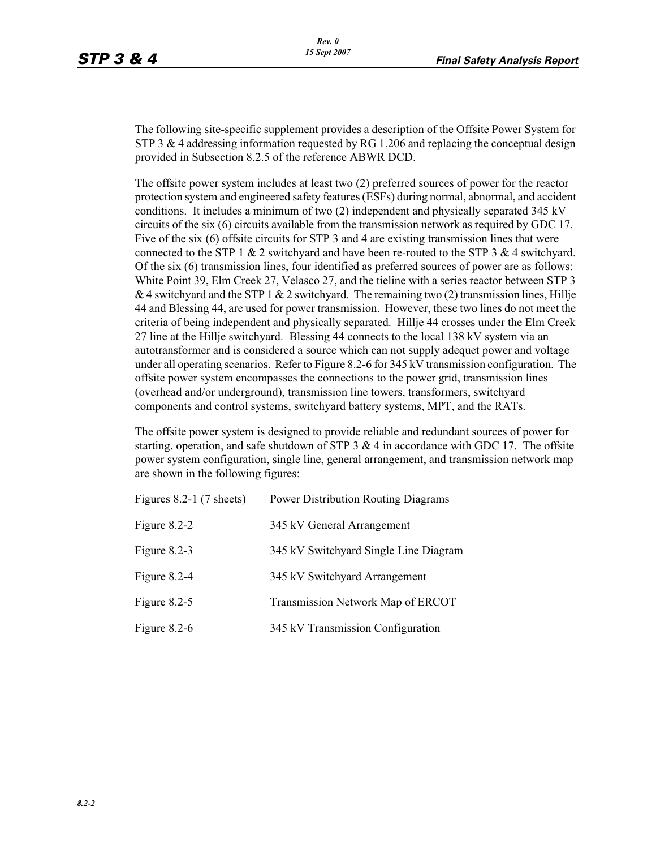The following site-specific supplement provides a description of the Offsite Power System for STP 3  $\&$  4 addressing information requested by RG 1.206 and replacing the conceptual design provided in Subsection 8.2.5 of the reference ABWR DCD.

The offsite power system includes at least two (2) preferred sources of power for the reactor protection system and engineered safety features (ESFs) during normal, abnormal, and accident conditions. It includes a minimum of two (2) independent and physically separated 345 kV circuits of the six (6) circuits available from the transmission network as required by GDC 17. Five of the six (6) offsite circuits for STP 3 and 4 are existing transmission lines that were connected to the STP 1  $\&$  2 switchyard and have been re-routed to the STP 3  $\&$  4 switchyard. Of the six (6) transmission lines, four identified as preferred sources of power are as follows: White Point 39, Elm Creek 27, Velasco 27, and the tieline with a series reactor between STP 3 & 4 switchyard and the STP 1 & 2 switchyard. The remaining two (2) transmission lines, Hillje 44 and Blessing 44, are used for power transmission. However, these two lines do not meet the criteria of being independent and physically separated. Hillje 44 crosses under the Elm Creek 27 line at the Hillje switchyard. Blessing 44 connects to the local 138 kV system via an autotransformer and is considered a source which can not supply adequet power and voltage under all operating scenarios. Refer to Figure 8.2-6 for 345 kV transmission configuration. The offsite power system encompasses the connections to the power grid, transmission lines (overhead and/or underground), transmission line towers, transformers, switchyard components and control systems, switchyard battery systems, MPT, and the RATs.

The offsite power system is designed to provide reliable and redundant sources of power for starting, operation, and safe shutdown of STP  $3 \& 4$  in accordance with GDC 17. The offsite power system configuration, single line, general arrangement, and transmission network map are shown in the following figures:

| Figures $8.2-1$ (7 sheets) | <b>Power Distribution Routing Diagrams</b> |  |
|----------------------------|--------------------------------------------|--|
| Figure $8.2 - 2$           | 345 kV General Arrangement                 |  |
| Figure $8.2-3$             | 345 kV Switchyard Single Line Diagram      |  |
| Figure $8.2-4$             | 345 kV Switchyard Arrangement              |  |
| Figure $8.2-5$             | Transmission Network Map of ERCOT          |  |
| Figure $8.2-6$             | 345 kV Transmission Configuration          |  |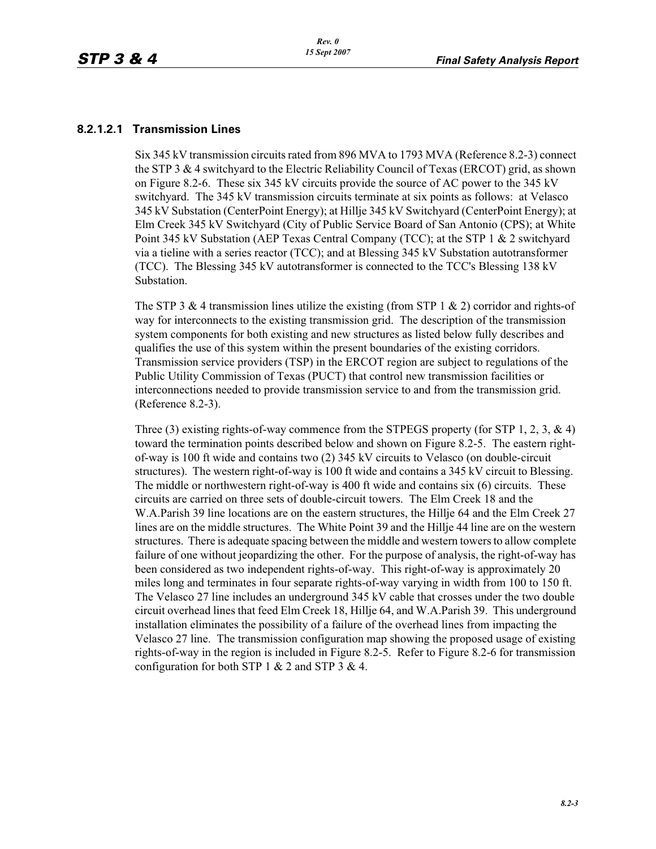#### **8.2.1.2.1 Transmission Lines**

Six 345 kV transmission circuits rated from 896 MVA to 1793 MVA (Reference 8.2-3) connect the STP 3 & 4 switchyard to the Electric Reliability Council of Texas (ERCOT) grid, as shown on Figure 8.2-6. These six 345 kV circuits provide the source of AC power to the 345 kV switchyard. The 345 kV transmission circuits terminate at six points as follows: at Velasco 345 kV Substation (CenterPoint Energy); at Hillje 345 kV Switchyard (CenterPoint Energy); at Elm Creek 345 kV Switchyard (City of Public Service Board of San Antonio (CPS); at White Point 345 kV Substation (AEP Texas Central Company (TCC); at the STP 1 & 2 switchyard via a tieline with a series reactor (TCC); and at Blessing 345 kV Substation autotransformer (TCC). The Blessing 345 kV autotransformer is connected to the TCC's Blessing 138 kV Substation.

The STP 3  $\&$  4 transmission lines utilize the existing (from STP 1  $\&$  2) corridor and rights-of way for interconnects to the existing transmission grid. The description of the transmission system components for both existing and new structures as listed below fully describes and qualifies the use of this system within the present boundaries of the existing corridors. Transmission service providers (TSP) in the ERCOT region are subject to regulations of the Public Utility Commission of Texas (PUCT) that control new transmission facilities or interconnections needed to provide transmission service to and from the transmission grid. (Reference 8.2-3).

Three (3) existing rights-of-way commence from the STPEGS property (for STP 1, 2, 3,  $\&$  4) toward the termination points described below and shown on Figure 8.2-5. The eastern rightof-way is 100 ft wide and contains two (2) 345 kV circuits to Velasco (on double-circuit structures). The western right-of-way is 100 ft wide and contains a 345 kV circuit to Blessing. The middle or northwestern right-of-way is 400 ft wide and contains six (6) circuits. These circuits are carried on three sets of double-circuit towers. The Elm Creek 18 and the W.A.Parish 39 line locations are on the eastern structures, the Hillje 64 and the Elm Creek 27 lines are on the middle structures. The White Point 39 and the Hillje 44 line are on the western structures. There is adequate spacing between the middle and western towers to allow complete failure of one without jeopardizing the other. For the purpose of analysis, the right-of-way has been considered as two independent rights-of-way. This right-of-way is approximately 20 miles long and terminates in four separate rights-of-way varying in width from 100 to 150 ft. The Velasco 27 line includes an underground 345 kV cable that crosses under the two double circuit overhead lines that feed Elm Creek 18, Hillje 64, and W.A.Parish 39. This underground installation eliminates the possibility of a failure of the overhead lines from impacting the Velasco 27 line. The transmission configuration map showing the proposed usage of existing rights-of-way in the region is included in Figure 8.2-5. Refer to Figure 8.2-6 for transmission configuration for both STP 1  $& 2$  and STP 3  $& 4$ .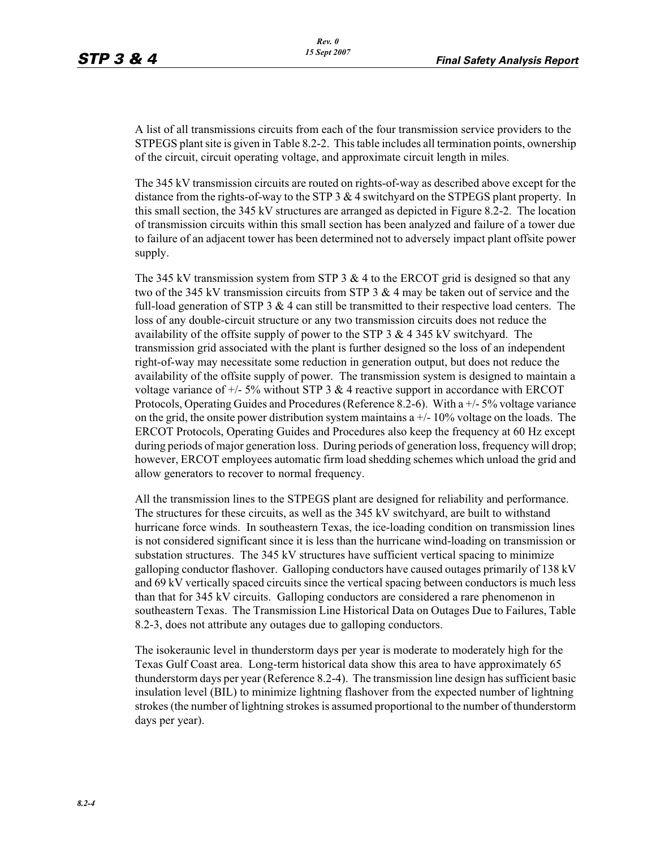A list of all transmissions circuits from each of the four transmission service providers to the STPEGS plant site is given in Table 8.2-2. This table includes all termination points, ownership of the circuit, circuit operating voltage, and approximate circuit length in miles.

The 345 kV transmission circuits are routed on rights-of-way as described above except for the distance from the rights-of-way to the STP 3 & 4 switchyard on the STPEGS plant property. In this small section, the 345 kV structures are arranged as depicted in Figure 8.2-2. The location of transmission circuits within this small section has been analyzed and failure of a tower due to failure of an adjacent tower has been determined not to adversely impact plant offsite power supply.

The 345 kV transmission system from STP 3  $\&$  4 to the ERCOT grid is designed so that any two of the 345 kV transmission circuits from STP 3  $\&$  4 may be taken out of service and the full-load generation of STP  $3 \& 4$  can still be transmitted to their respective load centers. The loss of any double-circuit structure or any two transmission circuits does not reduce the availability of the offsite supply of power to the STP  $3 \& 4 \& 345 \& V$  switchyard. The transmission grid associated with the plant is further designed so the loss of an independent right-of-way may necessitate some reduction in generation output, but does not reduce the availability of the offsite supply of power. The transmission system is designed to maintain a voltage variance of  $+/- 5\%$  without STP 3 & 4 reactive support in accordance with ERCOT Protocols, Operating Guides and Procedures (Reference 8.2-6). With a +/- 5% voltage variance on the grid, the onsite power distribution system maintains  $a +/-10\%$  voltage on the loads. The ERCOT Protocols, Operating Guides and Procedures also keep the frequency at 60 Hz except during periods of major generation loss. During periods of generation loss, frequency will drop; however, ERCOT employees automatic firm load shedding schemes which unload the grid and allow generators to recover to normal frequency.

All the transmission lines to the STPEGS plant are designed for reliability and performance. The structures for these circuits, as well as the 345 kV switchyard, are built to withstand hurricane force winds. In southeastern Texas, the ice-loading condition on transmission lines is not considered significant since it is less than the hurricane wind-loading on transmission or substation structures. The 345 kV structures have sufficient vertical spacing to minimize galloping conductor flashover. Galloping conductors have caused outages primarily of 138 kV and 69 kV vertically spaced circuits since the vertical spacing between conductors is much less than that for 345 kV circuits. Galloping conductors are considered a rare phenomenon in southeastern Texas. The Transmission Line Historical Data on Outages Due to Failures, Table 8.2-3, does not attribute any outages due to galloping conductors.

The isokeraunic level in thunderstorm days per year is moderate to moderately high for the Texas Gulf Coast area. Long-term historical data show this area to have approximately 65 thunderstorm days per year (Reference 8.2-4). The transmission line design has sufficient basic insulation level (BIL) to minimize lightning flashover from the expected number of lightning strokes (the number of lightning strokes is assumed proportional to the number of thunderstorm days per year).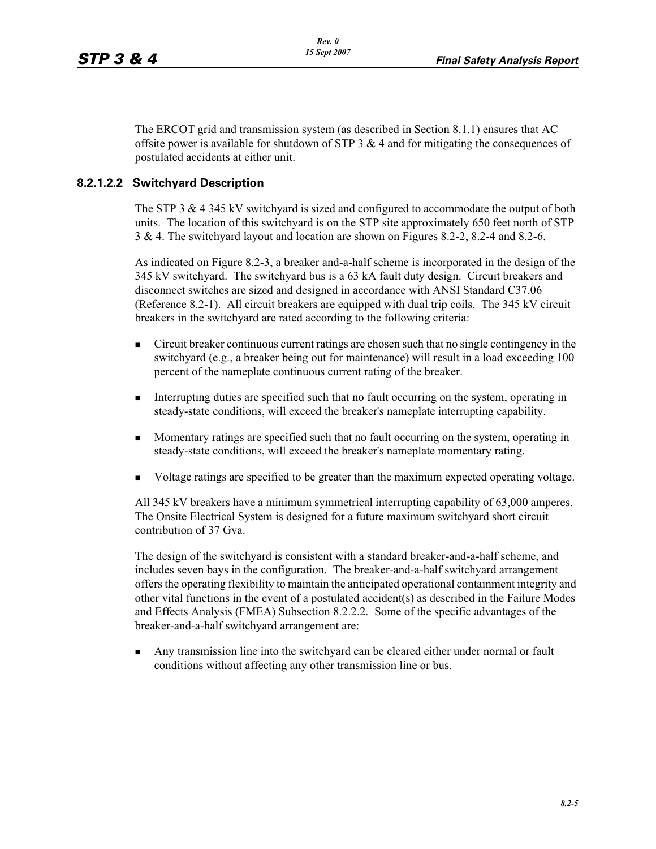The ERCOT grid and transmission system (as described in Section 8.1.1) ensures that AC offsite power is available for shutdown of STP  $3 \& 4$  and for mitigating the consequences of postulated accidents at either unit.

# **8.2.1.2.2 Switchyard Description**

The STP 3 & 4 345 kV switchyard is sized and configured to accommodate the output of both units. The location of this switchyard is on the STP site approximately 650 feet north of STP 3 & 4. The switchyard layout and location are shown on Figures 8.2-2, 8.2-4 and 8.2-6.

As indicated on Figure 8.2-3, a breaker and-a-half scheme is incorporated in the design of the 345 kV switchyard. The switchyard bus is a 63 kA fault duty design. Circuit breakers and disconnect switches are sized and designed in accordance with ANSI Standard C37.06 (Reference 8.2-1). All circuit breakers are equipped with dual trip coils. The 345 kV circuit breakers in the switchyard are rated according to the following criteria:

- - Circuit breaker continuous current ratings are chosen such that no single contingency in the switchyard (e.g., a breaker being out for maintenance) will result in a load exceeding 100 percent of the nameplate continuous current rating of the breaker.
- - Interrupting duties are specified such that no fault occurring on the system, operating in steady-state conditions, will exceed the breaker's nameplate interrupting capability.
- - Momentary ratings are specified such that no fault occurring on the system, operating in steady-state conditions, will exceed the breaker's nameplate momentary rating.
- -Voltage ratings are specified to be greater than the maximum expected operating voltage.

All 345 kV breakers have a minimum symmetrical interrupting capability of 63,000 amperes. The Onsite Electrical System is designed for a future maximum switchyard short circuit contribution of 37 Gva.

The design of the switchyard is consistent with a standard breaker-and-a-half scheme, and includes seven bays in the configuration. The breaker-and-a-half switchyard arrangement offers the operating flexibility to maintain the anticipated operational containment integrity and other vital functions in the event of a postulated accident(s) as described in the Failure Modes and Effects Analysis (FMEA) Subsection 8.2.2.2. Some of the specific advantages of the breaker-and-a-half switchyard arrangement are:

- Any transmission line into the switchyard can be cleared either under normal or fault conditions without affecting any other transmission line or bus.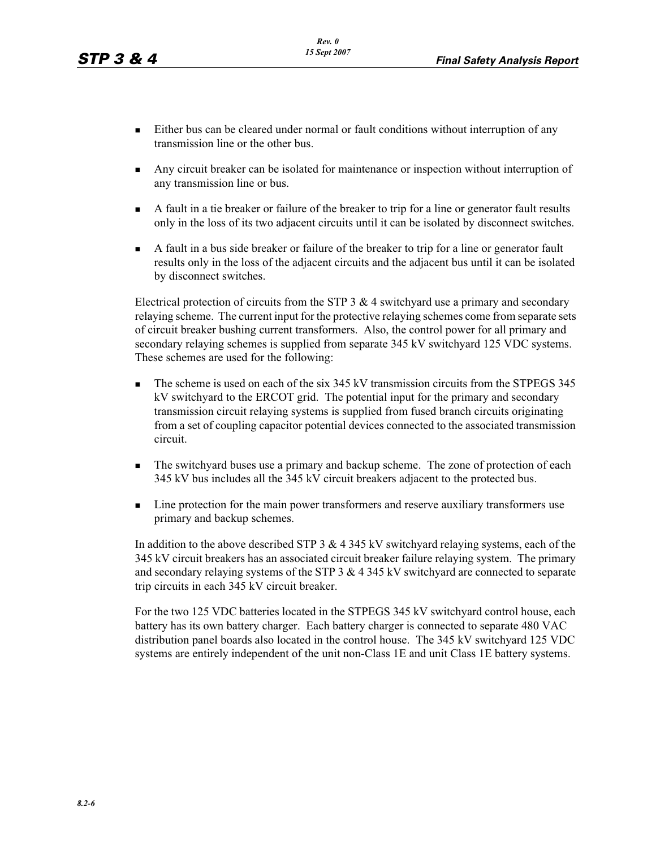- - Either bus can be cleared under normal or fault conditions without interruption of any transmission line or the other bus.
- - Any circuit breaker can be isolated for maintenance or inspection without interruption of any transmission line or bus.
- - A fault in a tie breaker or failure of the breaker to trip for a line or generator fault results only in the loss of its two adjacent circuits until it can be isolated by disconnect switches.
- A fault in a bus side breaker or failure of the breaker to trip for a line or generator fault results only in the loss of the adjacent circuits and the adjacent bus until it can be isolated by disconnect switches.

Electrical protection of circuits from the STP 3  $\&$  4 switchyard use a primary and secondary relaying scheme. The current input for the protective relaying schemes come from separate sets of circuit breaker bushing current transformers. Also, the control power for all primary and secondary relaying schemes is supplied from separate 345 kV switchyard 125 VDC systems. These schemes are used for the following:

- - The scheme is used on each of the six 345 kV transmission circuits from the STPEGS 345 kV switchyard to the ERCOT grid. The potential input for the primary and secondary transmission circuit relaying systems is supplied from fused branch circuits originating from a set of coupling capacitor potential devices connected to the associated transmission circuit.
- The switchyard buses use a primary and backup scheme. The zone of protection of each 345 kV bus includes all the 345 kV circuit breakers adjacent to the protected bus.
- Line protection for the main power transformers and reserve auxiliary transformers use primary and backup schemes.

In addition to the above described STP  $3 \& 4 \, 345 \text{ kV}$  switchyard relaying systems, each of the 345 kV circuit breakers has an associated circuit breaker failure relaying system. The primary and secondary relaying systems of the STP 3 & 4 345 kV switchyard are connected to separate trip circuits in each 345 kV circuit breaker.

For the two 125 VDC batteries located in the STPEGS 345 kV switchyard control house, each battery has its own battery charger. Each battery charger is connected to separate 480 VAC distribution panel boards also located in the control house. The 345 kV switchyard 125 VDC systems are entirely independent of the unit non-Class 1E and unit Class 1E battery systems.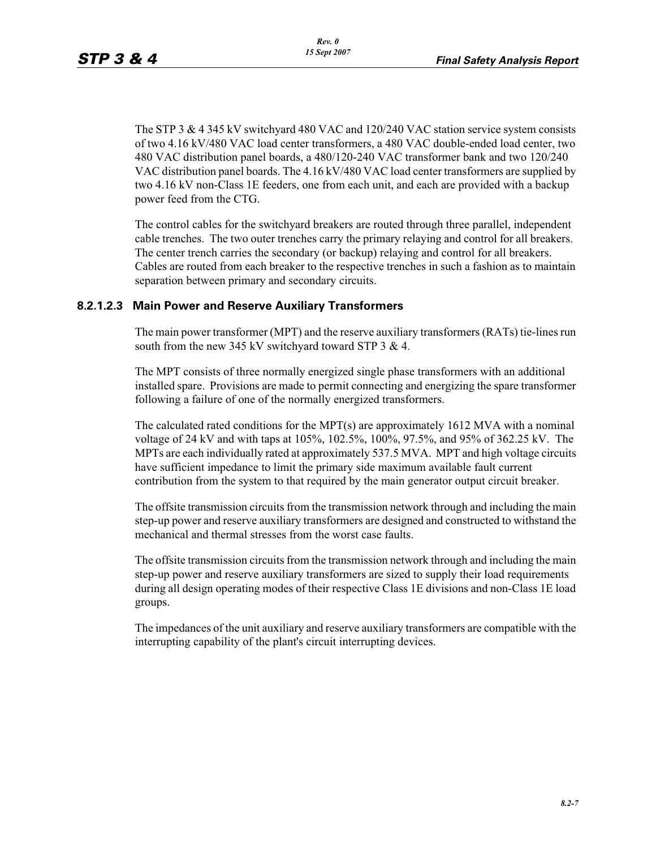The STP 3 & 4 345 kV switchyard 480 VAC and 120/240 VAC station service system consists of two 4.16 kV/480 VAC load center transformers, a 480 VAC double-ended load center, two 480 VAC distribution panel boards, a 480/120-240 VAC transformer bank and two 120/240 VAC distribution panel boards. The 4.16 kV/480 VAC load center transformers are supplied by two 4.16 kV non-Class 1E feeders, one from each unit, and each are provided with a backup power feed from the CTG.

The control cables for the switchyard breakers are routed through three parallel, independent cable trenches. The two outer trenches carry the primary relaying and control for all breakers. The center trench carries the secondary (or backup) relaying and control for all breakers. Cables are routed from each breaker to the respective trenches in such a fashion as to maintain separation between primary and secondary circuits.

### **8.2.1.2.3 Main Power and Reserve Auxiliary Transformers**

The main power transformer (MPT) and the reserve auxiliary transformers (RATs) tie-lines run south from the new 345 kV switchyard toward STP 3 & 4.

The MPT consists of three normally energized single phase transformers with an additional installed spare. Provisions are made to permit connecting and energizing the spare transformer following a failure of one of the normally energized transformers.

The calculated rated conditions for the MPT(s) are approximately 1612 MVA with a nominal voltage of 24 kV and with taps at 105%, 102.5%, 100%, 97.5%, and 95% of 362.25 kV. The MPTs are each individually rated at approximately 537.5 MVA. MPT and high voltage circuits have sufficient impedance to limit the primary side maximum available fault current contribution from the system to that required by the main generator output circuit breaker.

The offsite transmission circuits from the transmission network through and including the main step-up power and reserve auxiliary transformers are designed and constructed to withstand the mechanical and thermal stresses from the worst case faults.

The offsite transmission circuits from the transmission network through and including the main step-up power and reserve auxiliary transformers are sized to supply their load requirements during all design operating modes of their respective Class 1E divisions and non-Class 1E load groups.

The impedances of the unit auxiliary and reserve auxiliary transformers are compatible with the interrupting capability of the plant's circuit interrupting devices.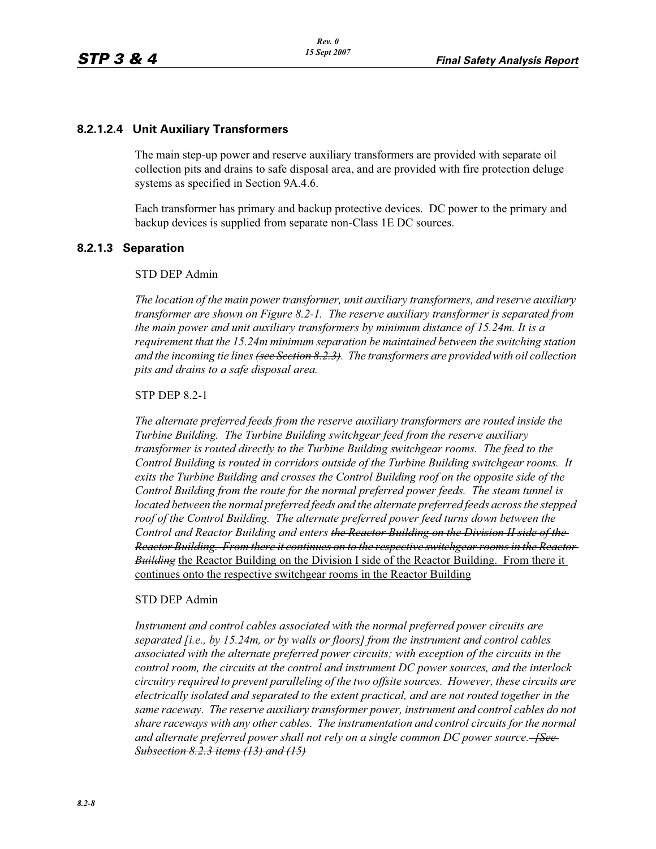### **8.2.1.2.4 Unit Auxiliary Transformers**

The main step-up power and reserve auxiliary transformers are provided with separate oil collection pits and drains to safe disposal area, and are provided with fire protection deluge systems as specified in Section 9A.4.6.

Each transformer has primary and backup protective devices. DC power to the primary and backup devices is supplied from separate non-Class 1E DC sources.

### **8.2.1.3 Separation**

#### STD DEP Admin

*The location of the main power transformer, unit auxiliary transformers, and reserve auxiliary transformer are shown on Figure 8.2-1. The reserve auxiliary transformer is separated from the main power and unit auxiliary transformers by minimum distance of 15.24m. It is a requirement that the 15.24m minimum separation be maintained between the switching station and the incoming tie lines (see Section 8.2.3). The transformers are provided with oil collection pits and drains to a safe disposal area.*

#### STP DEP 8.2-1

*The alternate preferred feeds from the reserve auxiliary transformers are routed inside the Turbine Building. The Turbine Building switchgear feed from the reserve auxiliary transformer is routed directly to the Turbine Building switchgear rooms. The feed to the Control Building is routed in corridors outside of the Turbine Building switchgear rooms. It exits the Turbine Building and crosses the Control Building roof on the opposite side of the Control Building from the route for the normal preferred power feeds. The steam tunnel is located between the normal preferred feeds and the alternate preferred feeds across the stepped*  roof of the Control Building. The alternate preferred power feed turns down between the *Control and Reactor Building and enters the Reactor Building on the Division II side of the Reactor Building. From there it continues on to the respective switchgear rooms in the Reactor Building* the Reactor Building on the Division I side of the Reactor Building. From there it continues onto the respective switchgear rooms in the Reactor Building

#### STD DEP Admin

*Instrument and control cables associated with the normal preferred power circuits are separated [i.e., by 15.24m, or by walls or floors] from the instrument and control cables associated with the alternate preferred power circuits; with exception of the circuits in the control room, the circuits at the control and instrument DC power sources, and the interlock circuitry required to prevent paralleling of the two offsite sources. However, these circuits are electrically isolated and separated to the extent practical, and are not routed together in the same raceway. The reserve auxiliary transformer power, instrument and control cables do not share raceways with any other cables. The instrumentation and control circuits for the normal*  and alternate preferred power shall not rely on a single common DC power source.<del> [See ]</del> *Subsection 8.2.3 items (13) and (15)*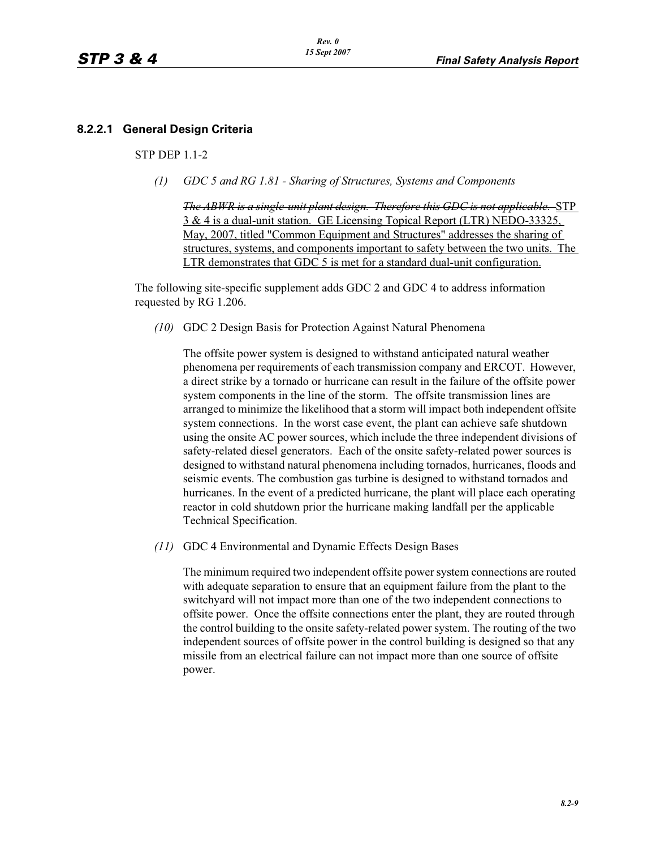# **8.2.2.1 General Design Criteria**

### STP DEP 1.1-2

*(1) GDC 5 and RG 1.81 - Sharing of Structures, Systems and Components*

*The ABWR is a single-unit plant design. Therefore this GDC is not applicable.* STP 3 & 4 is a dual-unit station. GE Licensing Topical Report (LTR) NEDO-33325, May, 2007, titled "Common Equipment and Structures" addresses the sharing of structures, systems, and components important to safety between the two units. The LTR demonstrates that GDC 5 is met for a standard dual-unit configuration.

The following site-specific supplement adds GDC 2 and GDC 4 to address information requested by RG 1.206.

*(10)* GDC 2 Design Basis for Protection Against Natural Phenomena

The offsite power system is designed to withstand anticipated natural weather phenomena per requirements of each transmission company and ERCOT. However, a direct strike by a tornado or hurricane can result in the failure of the offsite power system components in the line of the storm. The offsite transmission lines are arranged to minimize the likelihood that a storm will impact both independent offsite system connections. In the worst case event, the plant can achieve safe shutdown using the onsite AC power sources, which include the three independent divisions of safety-related diesel generators. Each of the onsite safety-related power sources is designed to withstand natural phenomena including tornados, hurricanes, floods and seismic events. The combustion gas turbine is designed to withstand tornados and hurricanes. In the event of a predicted hurricane, the plant will place each operating reactor in cold shutdown prior the hurricane making landfall per the applicable Technical Specification.

*(11)* GDC 4 Environmental and Dynamic Effects Design Bases

The minimum required two independent offsite power system connections are routed with adequate separation to ensure that an equipment failure from the plant to the switchyard will not impact more than one of the two independent connections to offsite power. Once the offsite connections enter the plant, they are routed through the control building to the onsite safety-related power system. The routing of the two independent sources of offsite power in the control building is designed so that any missile from an electrical failure can not impact more than one source of offsite power.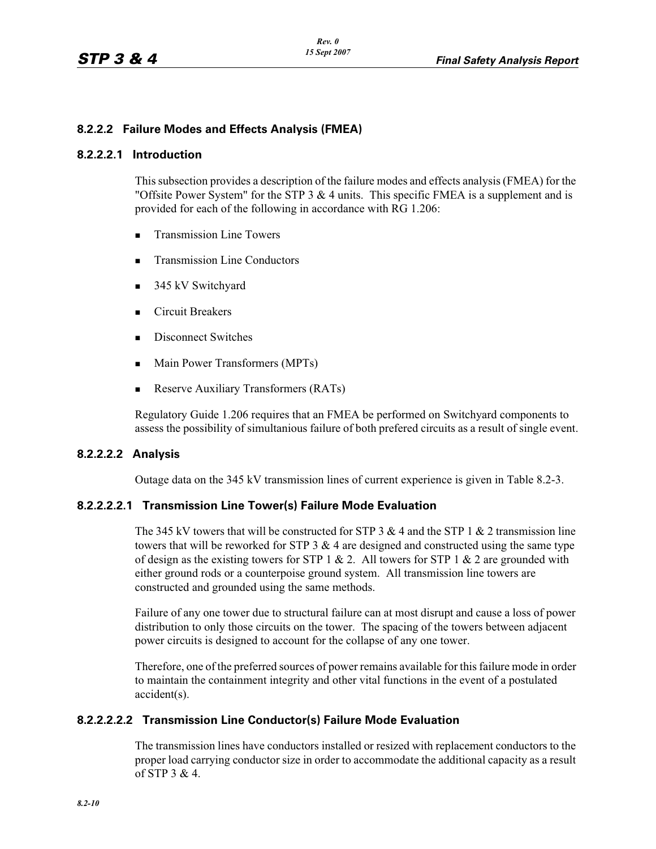## **8.2.2.2 Failure Modes and Effects Analysis (FMEA)**

### **8.2.2.2.1 Introduction**

This subsection provides a description of the failure modes and effects analysis (FMEA) for the "Offsite Power System" for the STP  $3 \& 4$  units. This specific FMEA is a supplement and is provided for each of the following in accordance with RG 1.206:

- -Transmission Line Towers
- -Transmission Line Conductors
- 345 kV Switchyard
- -Circuit Breakers
- **Exercise** Disconnect Switches
- Main Power Transformers (MPTs)
- -Reserve Auxiliary Transformers (RATs)

Regulatory Guide 1.206 requires that an FMEA be performed on Switchyard components to assess the possibility of simultanious failure of both prefered circuits as a result of single event.

### **8.2.2.2.2 Analysis**

Outage data on the 345 kV transmission lines of current experience is given in Table 8.2-3.

### **8.2.2.2.2.1 Transmission Line Tower(s) Failure Mode Evaluation**

The 345 kV towers that will be constructed for STP 3  $&$  4 and the STP 1  $&$  2 transmission line towers that will be reworked for STP 3  $\&$  4 are designed and constructed using the same type of design as the existing towers for STP 1 & 2. All towers for STP 1 & 2 are grounded with either ground rods or a counterpoise ground system. All transmission line towers are constructed and grounded using the same methods.

Failure of any one tower due to structural failure can at most disrupt and cause a loss of power distribution to only those circuits on the tower. The spacing of the towers between adjacent power circuits is designed to account for the collapse of any one tower.

Therefore, one of the preferred sources of power remains available for this failure mode in order to maintain the containment integrity and other vital functions in the event of a postulated accident(s).

## **8.2.2.2.2.2 Transmission Line Conductor(s) Failure Mode Evaluation**

The transmission lines have conductors installed or resized with replacement conductors to the proper load carrying conductor size in order to accommodate the additional capacity as a result of STP  $3 \& 4$ .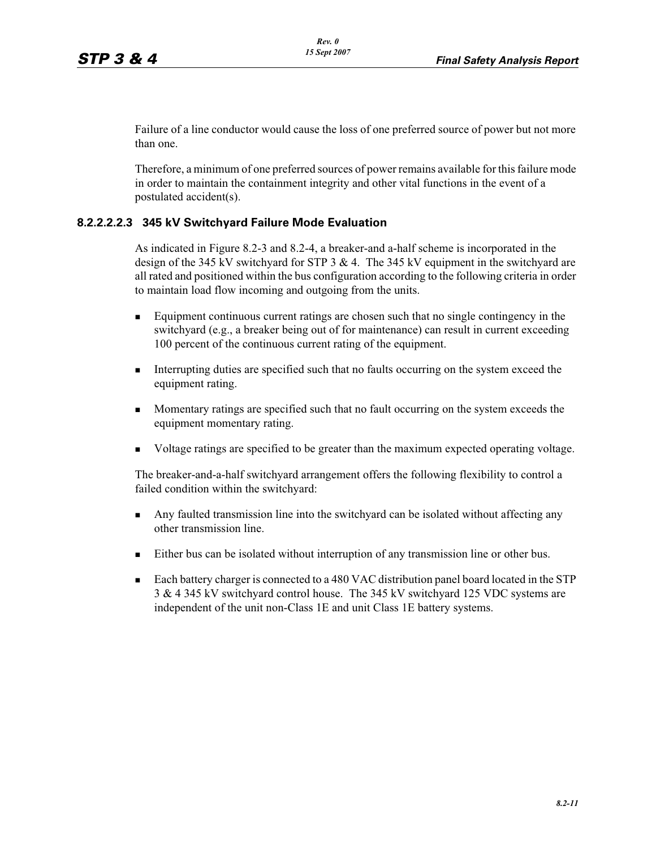Failure of a line conductor would cause the loss of one preferred source of power but not more than one.

Therefore, a minimum of one preferred sources of power remains available for this failure mode in order to maintain the containment integrity and other vital functions in the event of a postulated accident(s).

### **8.2.2.2.2.3 345 kV Switchyard Failure Mode Evaluation**

As indicated in Figure 8.2-3 and 8.2-4, a breaker-and a-half scheme is incorporated in the design of the 345 kV switchyard for STP 3 & 4. The 345 kV equipment in the switchyard are all rated and positioned within the bus configuration according to the following criteria in order to maintain load flow incoming and outgoing from the units.

- - Equipment continuous current ratings are chosen such that no single contingency in the switchyard (e.g., a breaker being out of for maintenance) can result in current exceeding 100 percent of the continuous current rating of the equipment.
- - Interrupting duties are specified such that no faults occurring on the system exceed the equipment rating.
- - Momentary ratings are specified such that no fault occurring on the system exceeds the equipment momentary rating.
- -Voltage ratings are specified to be greater than the maximum expected operating voltage.

The breaker-and-a-half switchyard arrangement offers the following flexibility to control a failed condition within the switchyard:

- - Any faulted transmission line into the switchyard can be isolated without affecting any other transmission line.
- **Either bus can be isolated without interruption of any transmission line or other bus.**
- - Each battery charger is connected to a 480 VAC distribution panel board located in the STP 3 & 4 345 kV switchyard control house. The 345 kV switchyard 125 VDC systems are independent of the unit non-Class 1E and unit Class 1E battery systems.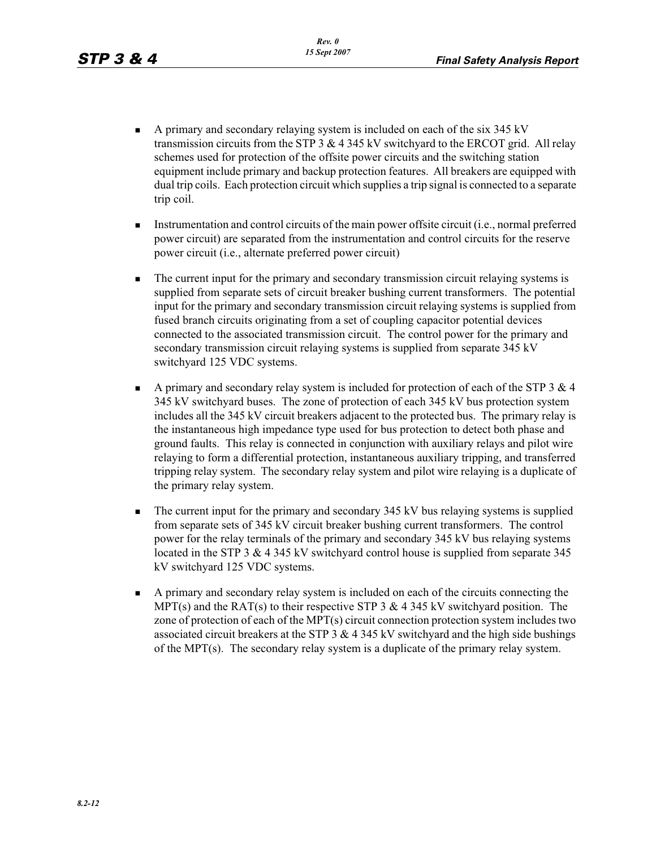- - A primary and secondary relaying system is included on each of the six 345 kV transmission circuits from the STP 3  $\&$  4 345 kV switchyard to the ERCOT grid. All relay schemes used for protection of the offsite power circuits and the switching station equipment include primary and backup protection features. All breakers are equipped with dual trip coils. Each protection circuit which supplies a trip signal is connected to a separate trip coil.
- - Instrumentation and control circuits of the main power offsite circuit (i.e., normal preferred power circuit) are separated from the instrumentation and control circuits for the reserve power circuit (i.e., alternate preferred power circuit)
- - The current input for the primary and secondary transmission circuit relaying systems is supplied from separate sets of circuit breaker bushing current transformers. The potential input for the primary and secondary transmission circuit relaying systems is supplied from fused branch circuits originating from a set of coupling capacitor potential devices connected to the associated transmission circuit. The control power for the primary and secondary transmission circuit relaying systems is supplied from separate 345 kV switchyard 125 VDC systems.
- - A primary and secondary relay system is included for protection of each of the STP 3 & 4 345 kV switchyard buses. The zone of protection of each 345 kV bus protection system includes all the 345 kV circuit breakers adjacent to the protected bus. The primary relay is the instantaneous high impedance type used for bus protection to detect both phase and ground faults. This relay is connected in conjunction with auxiliary relays and pilot wire relaying to form a differential protection, instantaneous auxiliary tripping, and transferred tripping relay system. The secondary relay system and pilot wire relaying is a duplicate of the primary relay system.
- - The current input for the primary and secondary 345 kV bus relaying systems is supplied from separate sets of 345 kV circuit breaker bushing current transformers. The control power for the relay terminals of the primary and secondary 345 kV bus relaying systems located in the STP 3 & 4 345 kV switchyard control house is supplied from separate 345 kV switchyard 125 VDC systems.
- - A primary and secondary relay system is included on each of the circuits connecting the MPT(s) and the RAT(s) to their respective STP 3  $\&$  4 345 kV switchyard position. The zone of protection of each of the MPT(s) circuit connection protection system includes two associated circuit breakers at the STP  $3 \& 4 \, 345 \& V$  switchyard and the high side bushings of the MPT(s). The secondary relay system is a duplicate of the primary relay system.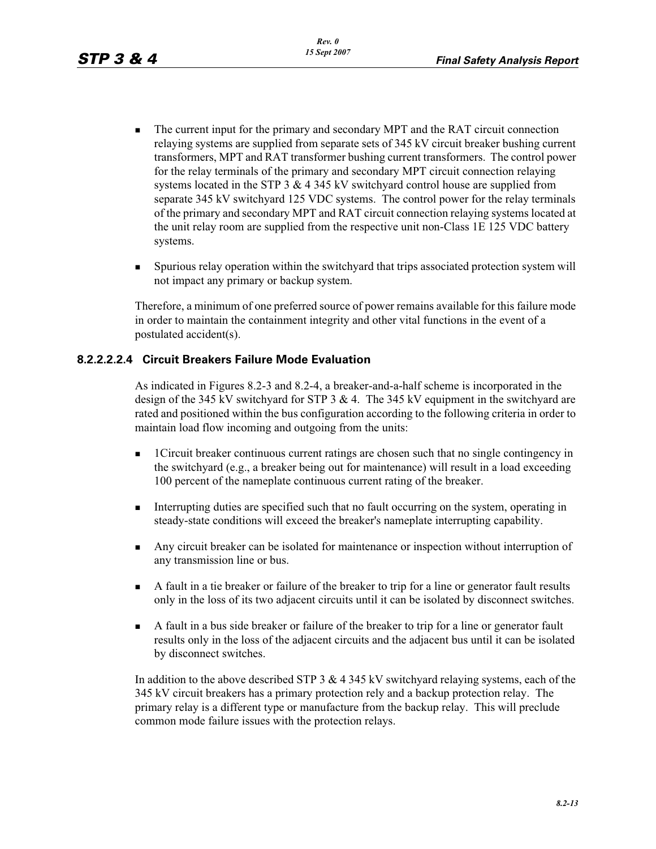- - The current input for the primary and secondary MPT and the RAT circuit connection relaying systems are supplied from separate sets of 345 kV circuit breaker bushing current transformers, MPT and RAT transformer bushing current transformers. The control power for the relay terminals of the primary and secondary MPT circuit connection relaying systems located in the STP  $3 \& 4 \,345 \& V$  switchyard control house are supplied from separate 345 kV switchyard 125 VDC systems. The control power for the relay terminals of the primary and secondary MPT and RAT circuit connection relaying systems located at the unit relay room are supplied from the respective unit non-Class 1E 125 VDC battery systems.
- - Spurious relay operation within the switchyard that trips associated protection system will not impact any primary or backup system.

Therefore, a minimum of one preferred source of power remains available for this failure mode in order to maintain the containment integrity and other vital functions in the event of a postulated accident(s).

## **8.2.2.2.2.4 Circuit Breakers Failure Mode Evaluation**

As indicated in Figures 8.2-3 and 8.2-4, a breaker-and-a-half scheme is incorporated in the design of the 345 kV switchyard for STP 3 & 4. The 345 kV equipment in the switchyard are rated and positioned within the bus configuration according to the following criteria in order to maintain load flow incoming and outgoing from the units:

- - 1Circuit breaker continuous current ratings are chosen such that no single contingency in the switchyard (e.g., a breaker being out for maintenance) will result in a load exceeding 100 percent of the nameplate continuous current rating of the breaker.
- - Interrupting duties are specified such that no fault occurring on the system, operating in steady-state conditions will exceed the breaker's nameplate interrupting capability.
- - Any circuit breaker can be isolated for maintenance or inspection without interruption of any transmission line or bus.
- A fault in a tie breaker or failure of the breaker to trip for a line or generator fault results only in the loss of its two adjacent circuits until it can be isolated by disconnect switches.
- - A fault in a bus side breaker or failure of the breaker to trip for a line or generator fault results only in the loss of the adjacent circuits and the adjacent bus until it can be isolated by disconnect switches.

In addition to the above described STP 3 & 4 345 kV switchyard relaying systems, each of the 345 kV circuit breakers has a primary protection rely and a backup protection relay. The primary relay is a different type or manufacture from the backup relay. This will preclude common mode failure issues with the protection relays.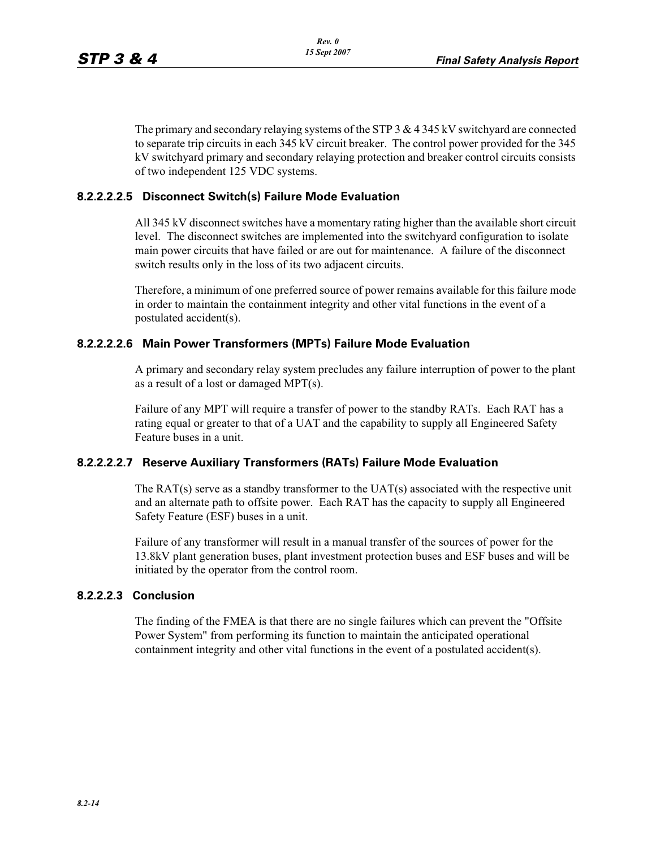The primary and secondary relaying systems of the STP 3 & 4 345 kV switchyard are connected to separate trip circuits in each 345 kV circuit breaker. The control power provided for the 345 kV switchyard primary and secondary relaying protection and breaker control circuits consists of two independent 125 VDC systems.

### **8.2.2.2.2.5 Disconnect Switch(s) Failure Mode Evaluation**

All 345 kV disconnect switches have a momentary rating higher than the available short circuit level. The disconnect switches are implemented into the switchyard configuration to isolate main power circuits that have failed or are out for maintenance. A failure of the disconnect switch results only in the loss of its two adjacent circuits.

Therefore, a minimum of one preferred source of power remains available for this failure mode in order to maintain the containment integrity and other vital functions in the event of a postulated accident(s).

### **8.2.2.2.2.6 Main Power Transformers (MPTs) Failure Mode Evaluation**

A primary and secondary relay system precludes any failure interruption of power to the plant as a result of a lost or damaged MPT(s).

Failure of any MPT will require a transfer of power to the standby RATs. Each RAT has a rating equal or greater to that of a UAT and the capability to supply all Engineered Safety Feature buses in a unit.

### **8.2.2.2.2.7 Reserve Auxiliary Transformers (RATs) Failure Mode Evaluation**

The RAT(s) serve as a standby transformer to the  $UAT(s)$  associated with the respective unit and an alternate path to offsite power. Each RAT has the capacity to supply all Engineered Safety Feature (ESF) buses in a unit.

Failure of any transformer will result in a manual transfer of the sources of power for the 13.8kV plant generation buses, plant investment protection buses and ESF buses and will be initiated by the operator from the control room.

### **8.2.2.2.3 Conclusion**

The finding of the FMEA is that there are no single failures which can prevent the "Offsite Power System" from performing its function to maintain the anticipated operational containment integrity and other vital functions in the event of a postulated accident(s).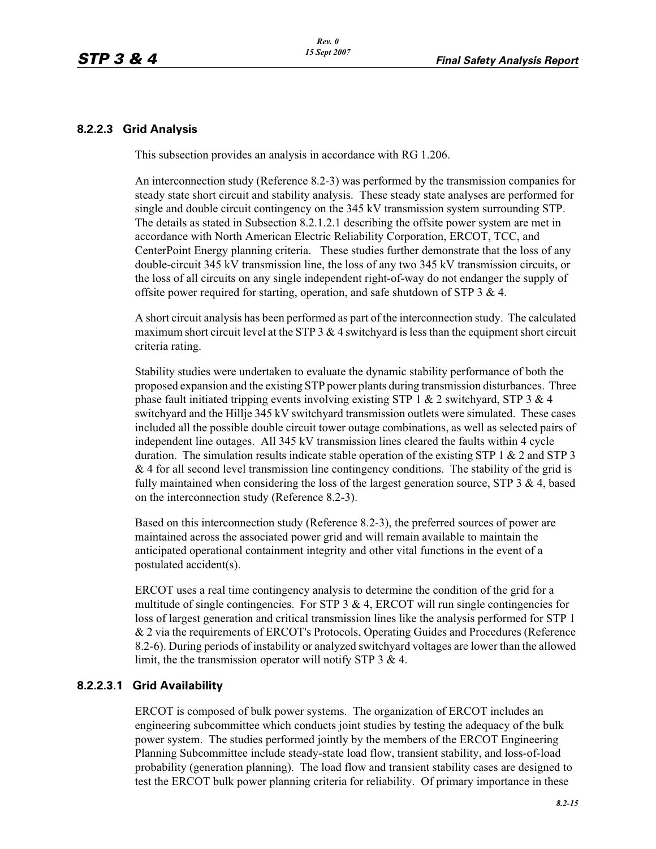### **8.2.2.3 Grid Analysis**

This subsection provides an analysis in accordance with RG 1.206.

An interconnection study (Reference 8.2-3) was performed by the transmission companies for steady state short circuit and stability analysis. These steady state analyses are performed for single and double circuit contingency on the 345 kV transmission system surrounding STP. The details as stated in Subsection 8.2.1.2.1 describing the offsite power system are met in accordance with North American Electric Reliability Corporation, ERCOT, TCC, and CenterPoint Energy planning criteria. These studies further demonstrate that the loss of any double-circuit 345 kV transmission line, the loss of any two 345 kV transmission circuits, or the loss of all circuits on any single independent right-of-way do not endanger the supply of offsite power required for starting, operation, and safe shutdown of STP 3 & 4.

A short circuit analysis has been performed as part of the interconnection study. The calculated maximum short circuit level at the STP  $3 \& 4$  switchyard is less than the equipment short circuit criteria rating.

Stability studies were undertaken to evaluate the dynamic stability performance of both the proposed expansion and the existing STP power plants during transmission disturbances. Three phase fault initiated tripping events involving existing STP 1  $& 2$  switchyard, STP 3  $& 4$ switchyard and the Hillje 345 kV switchyard transmission outlets were simulated. These cases included all the possible double circuit tower outage combinations, as well as selected pairs of independent line outages. All 345 kV transmission lines cleared the faults within 4 cycle duration. The simulation results indicate stable operation of the existing STP 1 & 2 and STP 3  $\&$  4 for all second level transmission line contingency conditions. The stability of the grid is fully maintained when considering the loss of the largest generation source, STP  $3 \& 4$ , based on the interconnection study (Reference 8.2-3).

Based on this interconnection study (Reference 8.2-3), the preferred sources of power are maintained across the associated power grid and will remain available to maintain the anticipated operational containment integrity and other vital functions in the event of a postulated accident(s).

ERCOT uses a real time contingency analysis to determine the condition of the grid for a multitude of single contingencies. For STP  $3 \& 4$ , ERCOT will run single contingencies for loss of largest generation and critical transmission lines like the analysis performed for STP 1 & 2 via the requirements of ERCOT's Protocols, Operating Guides and Procedures (Reference 8.2-6). During periods of instability or analyzed switchyard voltages are lower than the allowed limit, the the transmission operator will notify STP 3 & 4.

### **8.2.2.3.1 Grid Availability**

ERCOT is composed of bulk power systems. The organization of ERCOT includes an engineering subcommittee which conducts joint studies by testing the adequacy of the bulk power system. The studies performed jointly by the members of the ERCOT Engineering Planning Subcommittee include steady-state load flow, transient stability, and loss-of-load probability (generation planning). The load flow and transient stability cases are designed to test the ERCOT bulk power planning criteria for reliability. Of primary importance in these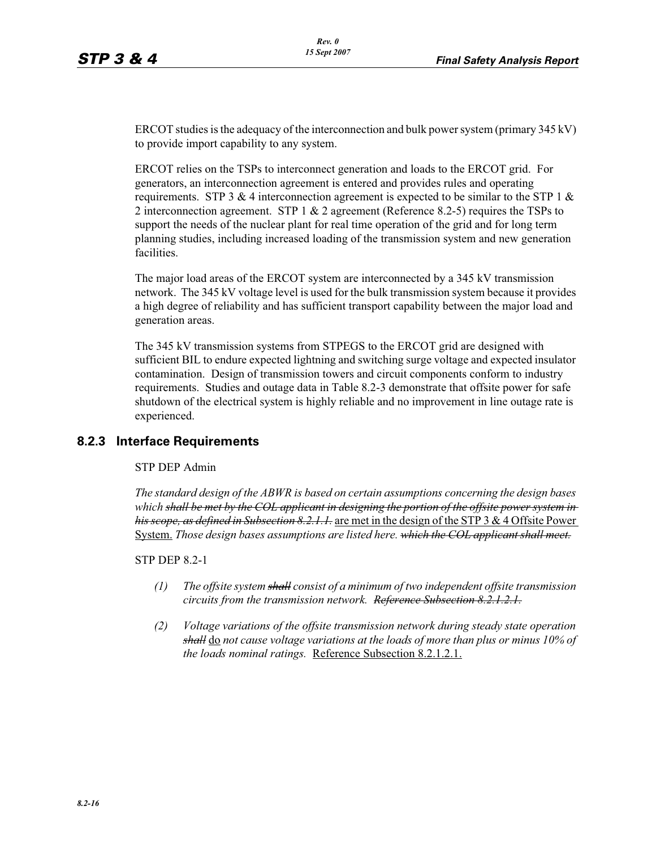ERCOT studies is the adequacy of the interconnection and bulk power system (primary 345 kV) to provide import capability to any system.

ERCOT relies on the TSPs to interconnect generation and loads to the ERCOT grid. For generators, an interconnection agreement is entered and provides rules and operating requirements. STP 3 & 4 interconnection agreement is expected to be similar to the STP 1  $\&$ 2 interconnection agreement. STP 1  $& 2$  agreement (Reference 8.2-5) requires the TSPs to support the needs of the nuclear plant for real time operation of the grid and for long term planning studies, including increased loading of the transmission system and new generation facilities.

The major load areas of the ERCOT system are interconnected by a 345 kV transmission network. The 345 kV voltage level is used for the bulk transmission system because it provides a high degree of reliability and has sufficient transport capability between the major load and generation areas.

The 345 kV transmission systems from STPEGS to the ERCOT grid are designed with sufficient BIL to endure expected lightning and switching surge voltage and expected insulator contamination. Design of transmission towers and circuit components conform to industry requirements. Studies and outage data in Table 8.2-3 demonstrate that offsite power for safe shutdown of the electrical system is highly reliable and no improvement in line outage rate is experienced.

## **8.2.3 Interface Requirements**

### STP DEP Admin

*The standard design of the ABWR is based on certain assumptions concerning the design bases which shall be met by the COL applicant in designing the portion of the offsite power system in his scope, as defined in Subsection 8.2.1.1.* are met in the design of the STP 3 & 4 Offsite Power System. *Those design bases assumptions are listed here. which the COL applicant shall meet.* 

### STP DEP 8.2-1

- *(1) The offsite system shall consist of a minimum of two independent offsite transmission circuits from the transmission network. Reference Subsection 8.2.1.2.1.*
- *(2) Voltage variations of the offsite transmission network during steady state operation shall* do *not cause voltage variations at the loads of more than plus or minus 10% of the loads nominal ratings.* Reference Subsection 8.2.1.2.1.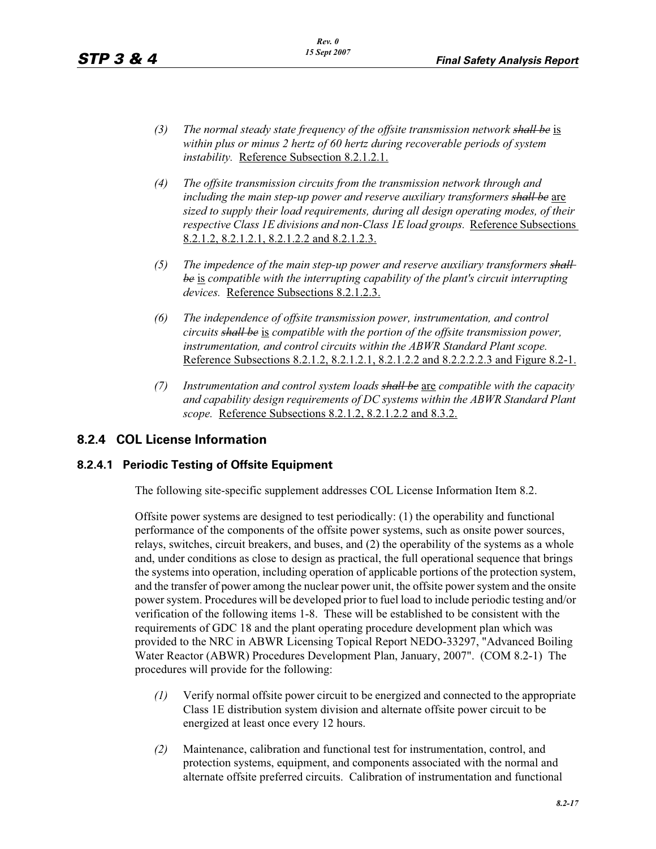- *(3) The normal steady state frequency of the offsite transmission network shall be* is *within plus or minus 2 hertz of 60 hertz during recoverable periods of system instability.* Reference Subsection 8.2.1.2.1.
- *(4) The offsite transmission circuits from the transmission network through and including the main step-up power and reserve auxiliary transformers shall be* are *sized to supply their load requirements, during all design operating modes, of their respective Class 1E divisions and non-Class 1E load groups.* Reference Subsections 8.2.1.2, 8.2.1.2.1, 8.2.1.2.2 and 8.2.1.2.3.
- *(5) The impedence of the main step-up power and reserve auxiliary transformers shall be* is *compatible with the interrupting capability of the plant's circuit interrupting devices.* Reference Subsections 8.2.1.2.3.
- *(6) The independence of offsite transmission power, instrumentation, and control circuits shall be* is *compatible with the portion of the offsite transmission power, instrumentation, and control circuits within the ABWR Standard Plant scope.*  Reference Subsections 8.2.1.2, 8.2.1.2.1, 8.2.1.2.2 and 8.2.2.2.2.3 and Figure 8.2-1.
- *(7) Instrumentation and control system loads shall be* are *compatible with the capacity and capability design requirements of DC systems within the ABWR Standard Plant scope.* Reference Subsections 8.2.1.2, 8.2.1.2.2 and 8.3.2.

# **8.2.4 COL License Information**

## **8.2.4.1 Periodic Testing of Offsite Equipment**

The following site-specific supplement addresses COL License Information Item 8.2.

Offsite power systems are designed to test periodically: (1) the operability and functional performance of the components of the offsite power systems, such as onsite power sources, relays, switches, circuit breakers, and buses, and (2) the operability of the systems as a whole and, under conditions as close to design as practical, the full operational sequence that brings the systems into operation, including operation of applicable portions of the protection system, and the transfer of power among the nuclear power unit, the offsite power system and the onsite power system. Procedures will be developed prior to fuel load to include periodic testing and/or verification of the following items 1-8. These will be established to be consistent with the requirements of GDC 18 and the plant operating procedure development plan which was provided to the NRC in ABWR Licensing Topical Report NEDO-33297, "Advanced Boiling Water Reactor (ABWR) Procedures Development Plan, January, 2007". (COM 8.2-1) The procedures will provide for the following:

- *(1)* Verify normal offsite power circuit to be energized and connected to the appropriate Class 1E distribution system division and alternate offsite power circuit to be energized at least once every 12 hours.
- *(2)* Maintenance, calibration and functional test for instrumentation, control, and protection systems, equipment, and components associated with the normal and alternate offsite preferred circuits. Calibration of instrumentation and functional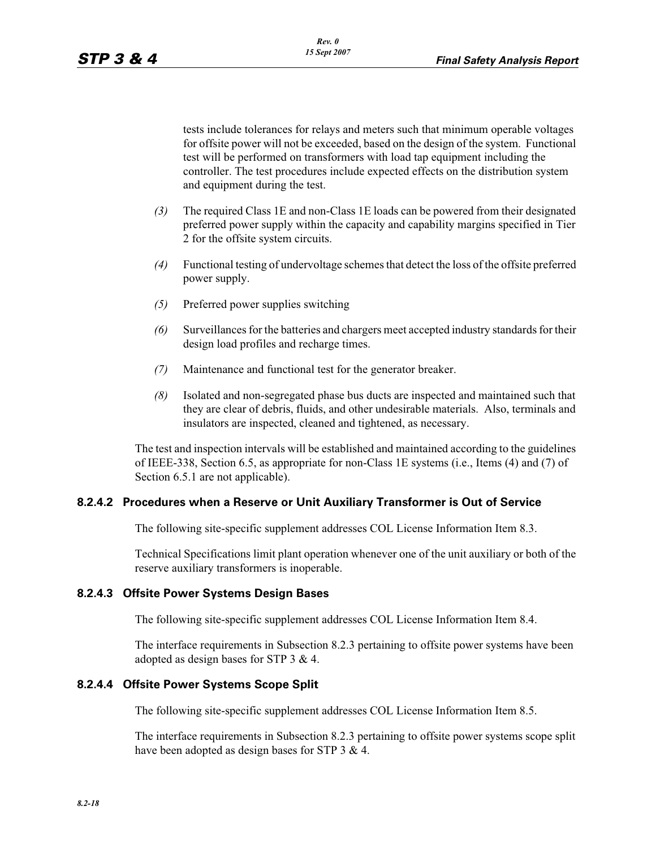tests include tolerances for relays and meters such that minimum operable voltages for offsite power will not be exceeded, based on the design of the system. Functional test will be performed on transformers with load tap equipment including the controller. The test procedures include expected effects on the distribution system and equipment during the test.

- *(3)* The required Class 1E and non-Class 1E loads can be powered from their designated preferred power supply within the capacity and capability margins specified in Tier 2 for the offsite system circuits.
- *(4)* Functional testing of undervoltage schemes that detect the loss of the offsite preferred power supply.
- *(5)* Preferred power supplies switching
- *(6)* Surveillances for the batteries and chargers meet accepted industry standards for their design load profiles and recharge times.
- *(7)* Maintenance and functional test for the generator breaker.
- *(8)* Isolated and non-segregated phase bus ducts are inspected and maintained such that they are clear of debris, fluids, and other undesirable materials. Also, terminals and insulators are inspected, cleaned and tightened, as necessary.

The test and inspection intervals will be established and maintained according to the guidelines of IEEE-338, Section 6.5, as appropriate for non-Class 1E systems (i.e., Items (4) and (7) of Section 6.5.1 are not applicable).

### **8.2.4.2 Procedures when a Reserve or Unit Auxiliary Transformer is Out of Service**

The following site-specific supplement addresses COL License Information Item 8.3.

Technical Specifications limit plant operation whenever one of the unit auxiliary or both of the reserve auxiliary transformers is inoperable.

## **8.2.4.3 Offsite Power Systems Design Bases**

The following site-specific supplement addresses COL License Information Item 8.4.

The interface requirements in Subsection 8.2.3 pertaining to offsite power systems have been adopted as design bases for STP 3 & 4.

### **8.2.4.4 Offsite Power Systems Scope Split**

The following site-specific supplement addresses COL License Information Item 8.5.

The interface requirements in Subsection 8.2.3 pertaining to offsite power systems scope split have been adopted as design bases for STP 3 & 4.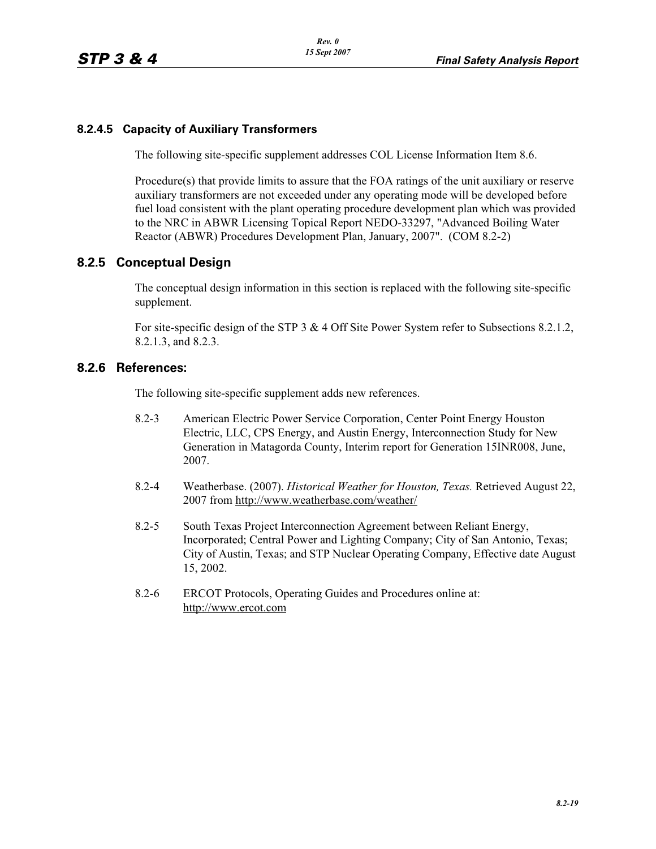# **8.2.4.5 Capacity of Auxiliary Transformers**

The following site-specific supplement addresses COL License Information Item 8.6.

Procedure(s) that provide limits to assure that the FOA ratings of the unit auxiliary or reserve auxiliary transformers are not exceeded under any operating mode will be developed before fuel load consistent with the plant operating procedure development plan which was provided to the NRC in ABWR Licensing Topical Report NEDO-33297, "Advanced Boiling Water Reactor (ABWR) Procedures Development Plan, January, 2007". (COM 8.2-2)

# **8.2.5 Conceptual Design**

The conceptual design information in this section is replaced with the following site-specific supplement.

For site-specific design of the STP 3 & 4 Off Site Power System refer to Subsections 8.2.1.2, 8.2.1.3, and 8.2.3.

## **8.2.6 References:**

The following site-specific supplement adds new references.

- 8.2-3 American Electric Power Service Corporation, Center Point Energy Houston Electric, LLC, CPS Energy, and Austin Energy, Interconnection Study for New Generation in Matagorda County, Interim report for Generation 15INR008, June, 2007.
- 8.2-4 Weatherbase. (2007). *Historical Weather for Houston, Texas.* Retrieved August 22, 2007 from http://www.weatherbase.com/weather/
- 8.2-5 South Texas Project Interconnection Agreement between Reliant Energy, Incorporated; Central Power and Lighting Company; City of San Antonio, Texas; City of Austin, Texas; and STP Nuclear Operating Company, Effective date August 15, 2002.
- 8.2-6 ERCOT Protocols, Operating Guides and Procedures online at: http://www.ercot.com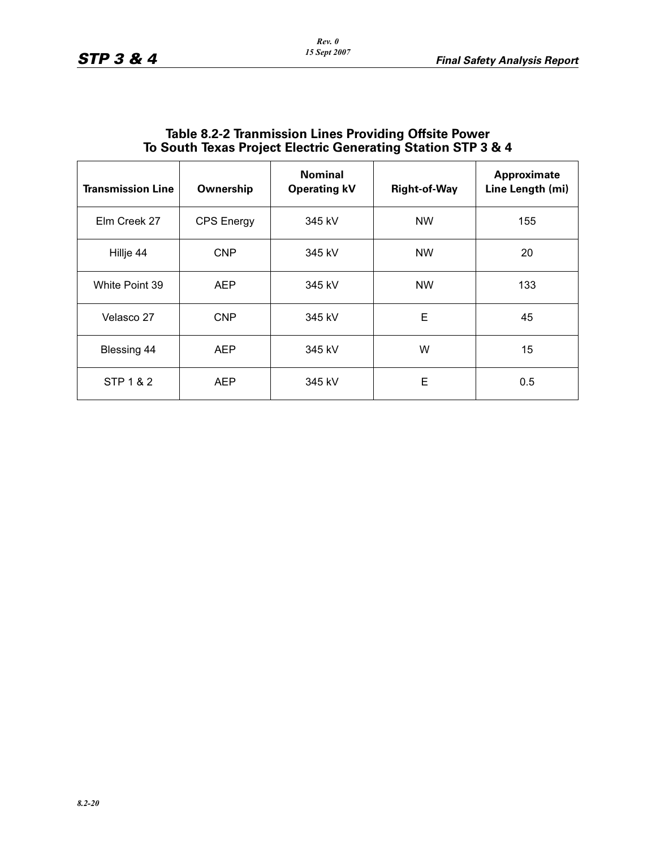| 10 South Texas Project Electric Generating Station STP 3 & 4 |                   |                                       |                     |                                 |  |
|--------------------------------------------------------------|-------------------|---------------------------------------|---------------------|---------------------------------|--|
| <b>Transmission Line</b>                                     | Ownership         | <b>Nominal</b><br><b>Operating kV</b> | <b>Right-of-Way</b> | Approximate<br>Line Length (mi) |  |
| Elm Creek 27                                                 | <b>CPS Energy</b> | 345 kV                                | <b>NW</b>           | 155                             |  |
| Hillje 44                                                    | <b>CNP</b>        | 345 kV                                | <b>NW</b>           | 20                              |  |
| White Point 39                                               | <b>AEP</b>        | 345 kV                                | <b>NW</b>           | 133                             |  |
| Velasco 27                                                   | <b>CNP</b>        | 345 kV                                | E                   | 45                              |  |
| Blessing 44                                                  | AEP               | 345 kV                                | W                   | 15                              |  |
| STP 1 & 2                                                    | AEP               | 345 kV                                | Е                   | 0.5                             |  |

# **Table 8.2-2 Tranmission Lines Providing Offsite Power To South Texas Project Electric Generating Station STP 3 & 4**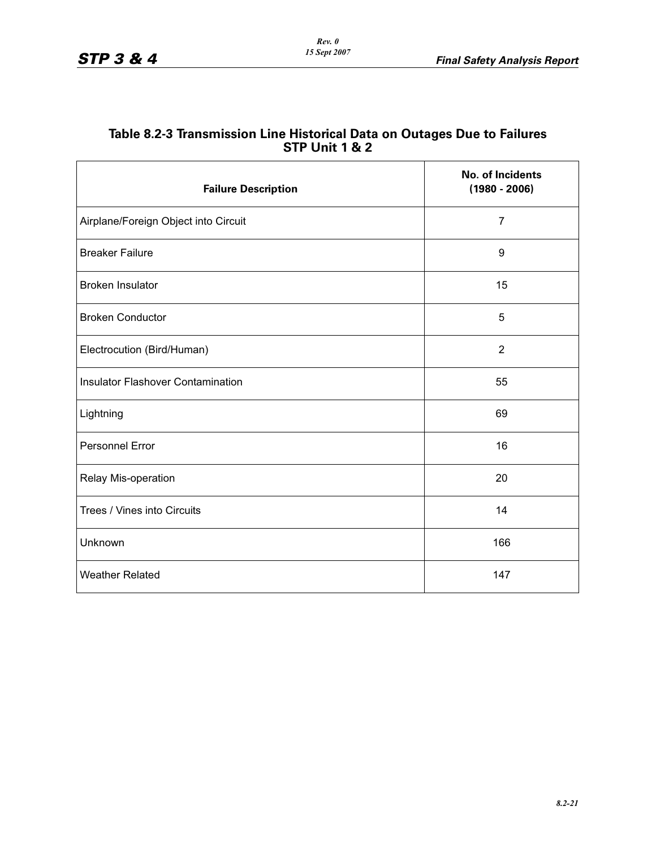| Table 8.2-3 Transmission Line Historical Data on Outages Due to Failures |
|--------------------------------------------------------------------------|
| <b>STP Unit 1 &amp; 2</b>                                                |

| <b>Failure Description</b>               | <b>No. of Incidents</b><br>$(1980 - 2006)$ |
|------------------------------------------|--------------------------------------------|
| Airplane/Foreign Object into Circuit     | $\overline{7}$                             |
| <b>Breaker Failure</b>                   | 9                                          |
| <b>Broken Insulator</b>                  | 15                                         |
| <b>Broken Conductor</b>                  | 5                                          |
| Electrocution (Bird/Human)               | $\overline{2}$                             |
| <b>Insulator Flashover Contamination</b> | 55                                         |
| Lightning                                | 69                                         |
| Personnel Error                          | 16                                         |
| Relay Mis-operation                      | 20                                         |
| Trees / Vines into Circuits              | 14                                         |
| Unknown                                  | 166                                        |
| <b>Weather Related</b>                   | 147                                        |